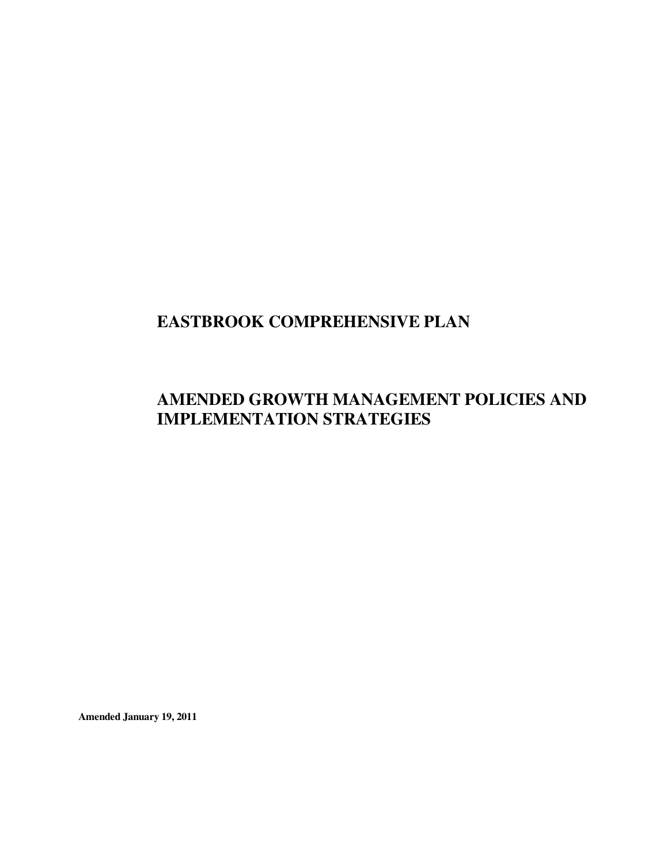# **EASTBROOK COMPREHENSIVE PLAN**

## **AMENDED GROWTH MANAGEMENT POLICIES AND IMPLEMENTATION STRATEGIES**

**Amended January 19, 2011**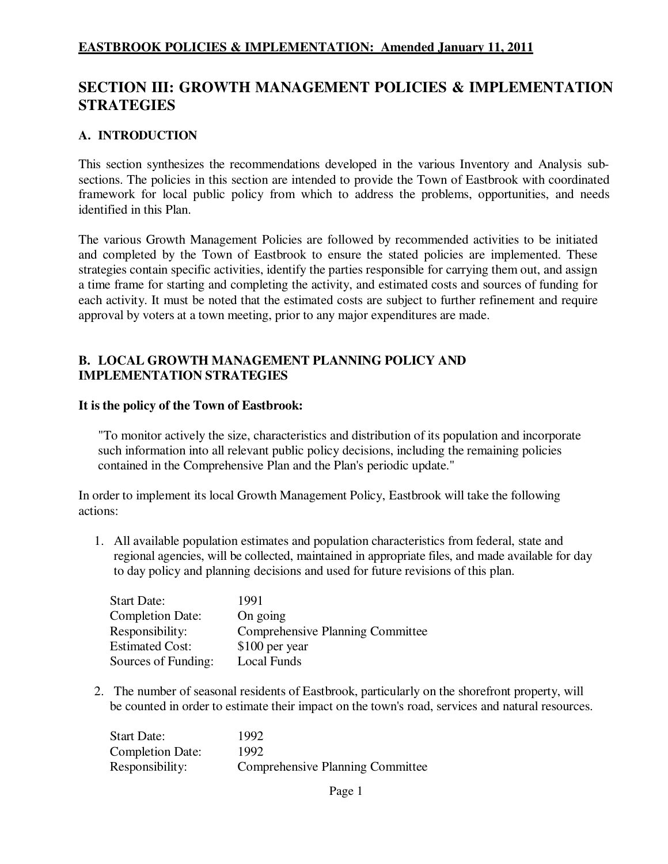## **SECTION III: GROWTH MANAGEMENT POLICIES & IMPLEMENTATION STRATEGIES**

#### **A. INTRODUCTION**

This section synthesizes the recommendations developed in the various Inventory and Analysis subsections. The policies in this section are intended to provide the Town of Eastbrook with coordinated framework for local public policy from which to address the problems, opportunities, and needs identified in this Plan.

The various Growth Management Policies are followed by recommended activities to be initiated and completed by the Town of Eastbrook to ensure the stated policies are implemented. These strategies contain specific activities, identify the parties responsible for carrying them out, and assign a time frame for starting and completing the activity, and estimated costs and sources of funding for each activity. It must be noted that the estimated costs are subject to further refinement and require approval by voters at a town meeting, prior to any major expenditures are made.

#### **B. LOCAL GROWTH MANAGEMENT PLANNING POLICY AND IMPLEMENTATION STRATEGIES**

#### **It is the policy of the Town of Eastbrook:**

"To monitor actively the size, characteristics and distribution of its population and incorporate such information into all relevant public policy decisions, including the remaining policies contained in the Comprehensive Plan and the Plan's periodic update."

In order to implement its local Growth Management Policy, Eastbrook will take the following actions:

1. All available population estimates and population characteristics from federal, state and regional agencies, will be collected, maintained in appropriate files, and made available for day to day policy and planning decisions and used for future revisions of this plan.

| <b>Start Date:</b>      | 1991                                    |
|-------------------------|-----------------------------------------|
| <b>Completion Date:</b> | On going                                |
| Responsibility:         | <b>Comprehensive Planning Committee</b> |
| <b>Estimated Cost:</b>  | \$100 per year                          |
| Sources of Funding:     | Local Funds                             |

2. The number of seasonal residents of Eastbrook, particularly on the shorefront property, will be counted in order to estimate their impact on the town's road, services and natural resources.

| Start Date:             | 1992                                    |
|-------------------------|-----------------------------------------|
| <b>Completion Date:</b> | 1992                                    |
| Responsibility:         | <b>Comprehensive Planning Committee</b> |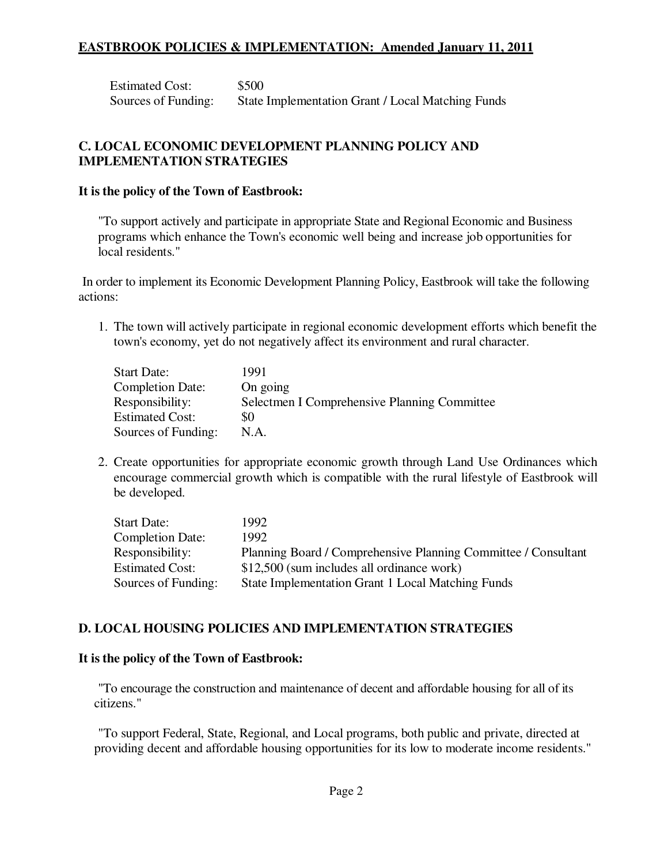Estimated Cost: \$500 Sources of Funding: State Implementation Grant / Local Matching Funds

### **C. LOCAL ECONOMIC DEVELOPMENT PLANNING POLICY AND IMPLEMENTATION STRATEGIES**

#### **It is the policy of the Town of Eastbrook:**

"To support actively and participate in appropriate State and Regional Economic and Business programs which enhance the Town's economic well being and increase job opportunities for local residents."

In order to implement its Economic Development Planning Policy, Eastbrook will take the following actions:

1. The town will actively participate in regional economic development efforts which benefit the town's economy, yet do not negatively affect its environment and rural character.

| <b>Start Date:</b>      | 1991                                         |
|-------------------------|----------------------------------------------|
| <b>Completion Date:</b> | On going                                     |
| Responsibility:         | Selectmen I Comprehensive Planning Committee |
| <b>Estimated Cost:</b>  | \$0                                          |
| Sources of Funding:     | N.A.                                         |

2. Create opportunities for appropriate economic growth through Land Use Ordinances which encourage commercial growth which is compatible with the rural lifestyle of Eastbrook will be developed.

| <b>Start Date:</b>      | 1992                                                           |
|-------------------------|----------------------------------------------------------------|
| <b>Completion Date:</b> | 1992.                                                          |
| Responsibility:         | Planning Board / Comprehensive Planning Committee / Consultant |
| <b>Estimated Cost:</b>  | \$12,500 (sum includes all ordinance work)                     |
| Sources of Funding:     | State Implementation Grant 1 Local Matching Funds              |

#### **D. LOCAL HOUSING POLICIES AND IMPLEMENTATION STRATEGIES**

#### **It is the policy of the Town of Eastbrook:**

"To encourage the construction and maintenance of decent and affordable housing for all of its citizens."

"To support Federal, State, Regional, and Local programs, both public and private, directed at providing decent and affordable housing opportunities for its low to moderate income residents."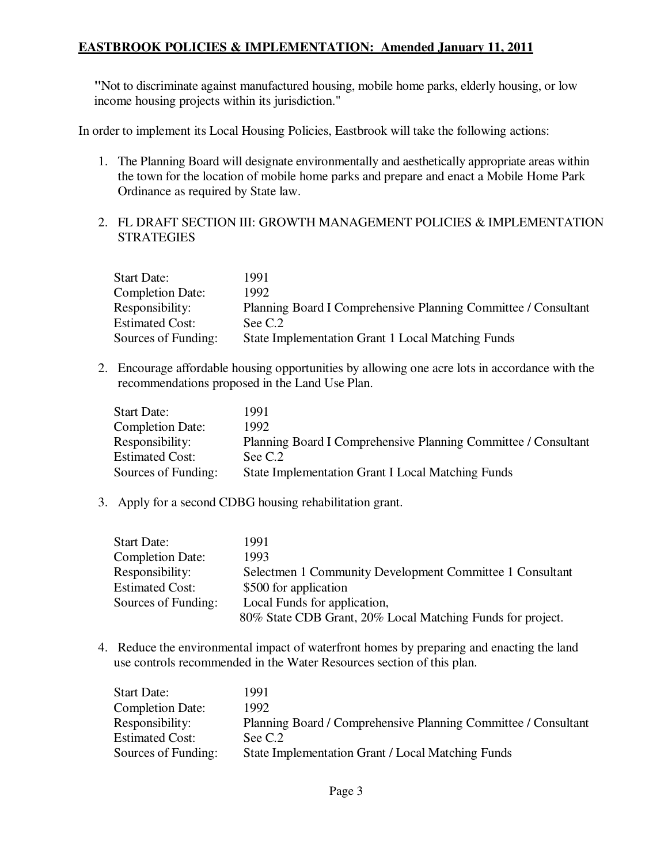**"**Not to discriminate against manufactured housing, mobile home parks, elderly housing, or low income housing projects within its jurisdiction."

In order to implement its Local Housing Policies, Eastbrook will take the following actions:

- 1. The Planning Board will designate environmentally and aesthetically appropriate areas within the town for the location of mobile home parks and prepare and enact a Mobile Home Park Ordinance as required by State law.
- 2. FL DRAFT SECTION III: GROWTH MANAGEMENT POLICIES & IMPLEMENTATION **STRATEGIES**

| <b>Start Date:</b>      | 1991                                                           |
|-------------------------|----------------------------------------------------------------|
| <b>Completion Date:</b> | 1992.                                                          |
| Responsibility:         | Planning Board I Comprehensive Planning Committee / Consultant |
| <b>Estimated Cost:</b>  | See C.2                                                        |
| Sources of Funding:     | <b>State Implementation Grant 1 Local Matching Funds</b>       |

2. Encourage affordable housing opportunities by allowing one acre lots in accordance with the recommendations proposed in the Land Use Plan.

| <b>Start Date:</b>      | 1991.                                                          |
|-------------------------|----------------------------------------------------------------|
| <b>Completion Date:</b> | 1992.                                                          |
| Responsibility:         | Planning Board I Comprehensive Planning Committee / Consultant |
| <b>Estimated Cost:</b>  | See C.2                                                        |
| Sources of Funding:     | <b>State Implementation Grant I Local Matching Funds</b>       |

3. Apply for a second CDBG housing rehabilitation grant.

| <b>Start Date:</b>      | 1991                                                       |
|-------------------------|------------------------------------------------------------|
| <b>Completion Date:</b> | 1993                                                       |
| Responsibility:         | Selectmen 1 Community Development Committee 1 Consultant   |
| <b>Estimated Cost:</b>  | \$500 for application                                      |
| Sources of Funding:     | Local Funds for application,                               |
|                         | 80% State CDB Grant, 20% Local Matching Funds for project. |

4. Reduce the environmental impact of waterfront homes by preparing and enacting the land use controls recommended in the Water Resources section of this plan.

| <b>Start Date:</b>      | 1991                                                           |
|-------------------------|----------------------------------------------------------------|
| <b>Completion Date:</b> | 1992.                                                          |
| Responsibility:         | Planning Board / Comprehensive Planning Committee / Consultant |
| <b>Estimated Cost:</b>  | See C.2                                                        |
| Sources of Funding:     | State Implementation Grant / Local Matching Funds              |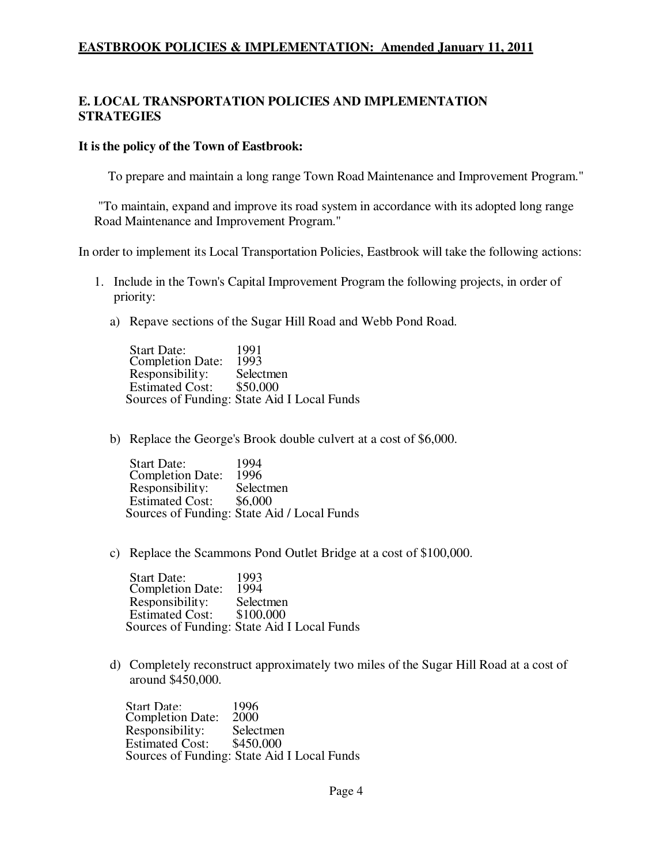## **E. LOCAL TRANSPORTATION POLICIES AND IMPLEMENTATION STRATEGIES**

#### **It is the policy of the Town of Eastbrook:**

To prepare and maintain a long range Town Road Maintenance and Improvement Program."

"To maintain, expand and improve its road system in accordance with its adopted long range Road Maintenance and Improvement Program."

In order to implement its Local Transportation Policies, Eastbrook will take the following actions:

- 1. Include in the Town's Capital Improvement Program the following projects, in order of priority:
	- a) Repave sections of the Sugar Hill Road and Webb Pond Road.

Start Date: 1991 Completion Date: 1993<br>Responsibility: Selectmen Responsibility: Selectmenry Selectmenry S50.000 Estimated Cost: Sources of Funding: State Aid I Local Funds

b) Replace the George's Brook double culvert at a cost of \$6,000.

Start Date: 1994 Completion Date: 1996 Responsibility: Selectmen Estimated Cost: \$6,000 Sources of Funding: State Aid / Local Funds

c) Replace the Scammons Pond Outlet Bridge at a cost of \$100,000.

Start Date: 1993 Completion Date: 1994 Responsibility: Selectmen<br>Estimated Cost: \$100,000 Estimated Cost: Sources of Funding: State Aid I Local Funds

d) Completely reconstruct approximately two miles of the Sugar Hill Road at a cost of around \$450,000.

Start Date: 1996<br>Completion Date: 2000 Completion Date: Responsibility: Selectmen<br>Estimated Cost: \$450,000 Estimated Cost: Sources of Funding: State Aid I Local Funds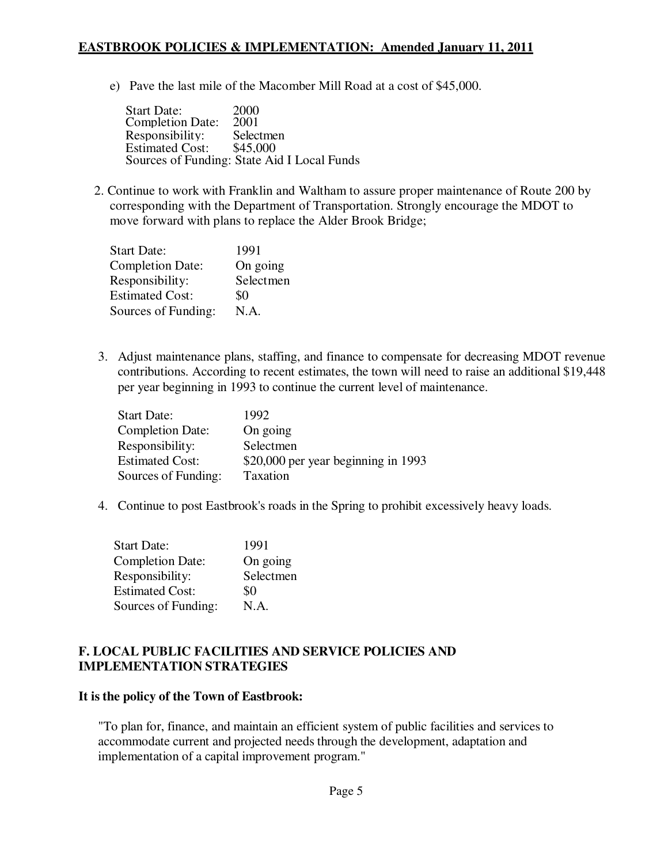e) Pave the last mile of the Macomber Mill Road at a cost of \$45,000.

Start Date: 2000 Completion Date: 2001 Responsibility: Selectmen<br>Estimated Cost: \$45,000 Estimated Cost: Sources of Funding: State Aid I Local Funds

2. Continue to work with Franklin and Waltham to assure proper maintenance of Route 200 by corresponding with the Department of Transportation. Strongly encourage the MDOT to move forward with plans to replace the Alder Brook Bridge;

| <b>Start Date:</b>      | 1991      |
|-------------------------|-----------|
| <b>Completion Date:</b> | On going  |
| Responsibility:         | Selectmen |
| <b>Estimated Cost:</b>  | \$0       |
| Sources of Funding:     | N.A.      |

3. Adjust maintenance plans, staffing, and finance to compensate for decreasing MDOT revenue contributions. According to recent estimates, the town will need to raise an additional \$19,448 per year beginning in 1993 to continue the current level of maintenance.

| <b>Start Date:</b>      | 1992                                |
|-------------------------|-------------------------------------|
| <b>Completion Date:</b> | On going                            |
| Responsibility:         | Selectmen                           |
| <b>Estimated Cost:</b>  | \$20,000 per year beginning in 1993 |
| Sources of Funding:     | Taxation                            |

4. Continue to post Eastbrook's roads in the Spring to prohibit excessively heavy loads.

| <b>Start Date:</b>      | 1991      |
|-------------------------|-----------|
| <b>Completion Date:</b> | On going  |
| Responsibility:         | Selectmen |
| <b>Estimated Cost:</b>  | \$0       |
| Sources of Funding:     | N.A.      |

#### **F. LOCAL PUBLIC FACILITIES AND SERVICE POLICIES AND IMPLEMENTATION STRATEGIES**

#### **It is the policy of the Town of Eastbrook:**

"To plan for, finance, and maintain an efficient system of public facilities and services to accommodate current and projected needs through the development, adaptation and implementation of a capital improvement program."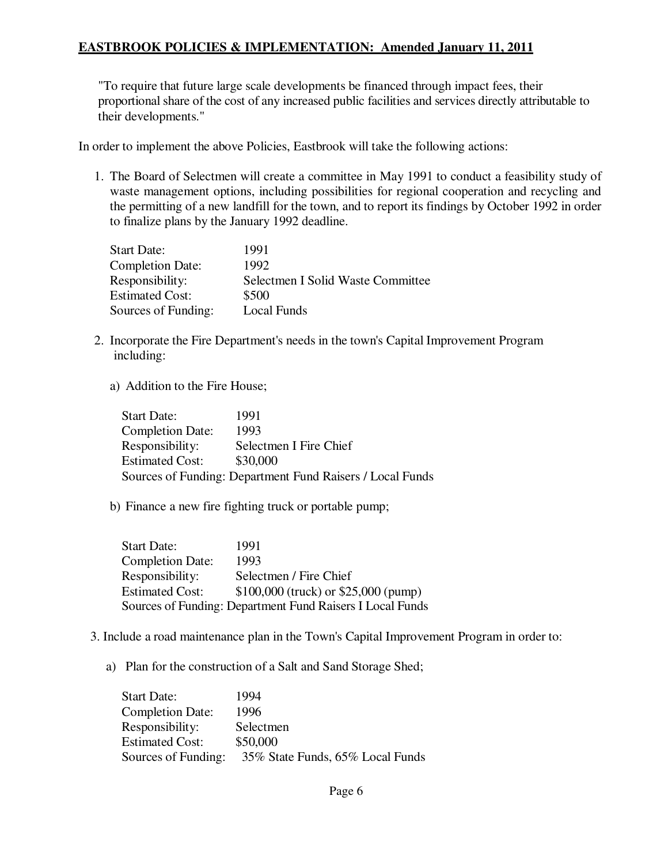"To require that future large scale developments be financed through impact fees, their proportional share of the cost of any increased public facilities and services directly attributable to their developments."

In order to implement the above Policies, Eastbrook will take the following actions:

1. The Board of Selectmen will create a committee in May 1991 to conduct a feasibility study of waste management options, including possibilities for regional cooperation and recycling and the permitting of a new landfill for the town, and to report its findings by October 1992 in order to finalize plans by the January 1992 deadline.

| <b>Start Date:</b>      | 1991                              |
|-------------------------|-----------------------------------|
| <b>Completion Date:</b> | 1992                              |
| Responsibility:         | Selectmen I Solid Waste Committee |
| <b>Estimated Cost:</b>  | \$500                             |
| Sources of Funding:     | Local Funds                       |

- 2. Incorporate the Fire Department's needs in the town's Capital Improvement Program including:
	- a) Addition to the Fire House;

| <b>Start Date:</b>                                        | 1991                   |  |
|-----------------------------------------------------------|------------------------|--|
| <b>Completion Date:</b>                                   | 1993                   |  |
| Responsibility:                                           | Selectmen I Fire Chief |  |
| <b>Estimated Cost:</b>                                    | \$30,000               |  |
| Sources of Funding: Department Fund Raisers / Local Funds |                        |  |

b) Finance a new fire fighting truck or portable pump;

| <b>Start Date:</b>      | 1991                                                      |
|-------------------------|-----------------------------------------------------------|
| <b>Completion Date:</b> | 1993                                                      |
| Responsibility:         | Selectmen / Fire Chief                                    |
| <b>Estimated Cost:</b>  | $$100,000$ (truck) or $$25,000$ (pump)                    |
|                         | Sources of Funding: Department Fund Raisers I Local Funds |

- 3. Include a road maintenance plan in the Town's Capital Improvement Program in order to:
	- a) Plan for the construction of a Salt and Sand Storage Shed;

| <b>Start Date:</b>      | 1994                             |
|-------------------------|----------------------------------|
| <b>Completion Date:</b> | 1996                             |
| Responsibility:         | Selectmen                        |
| <b>Estimated Cost:</b>  | \$50,000                         |
| Sources of Funding:     | 35% State Funds, 65% Local Funds |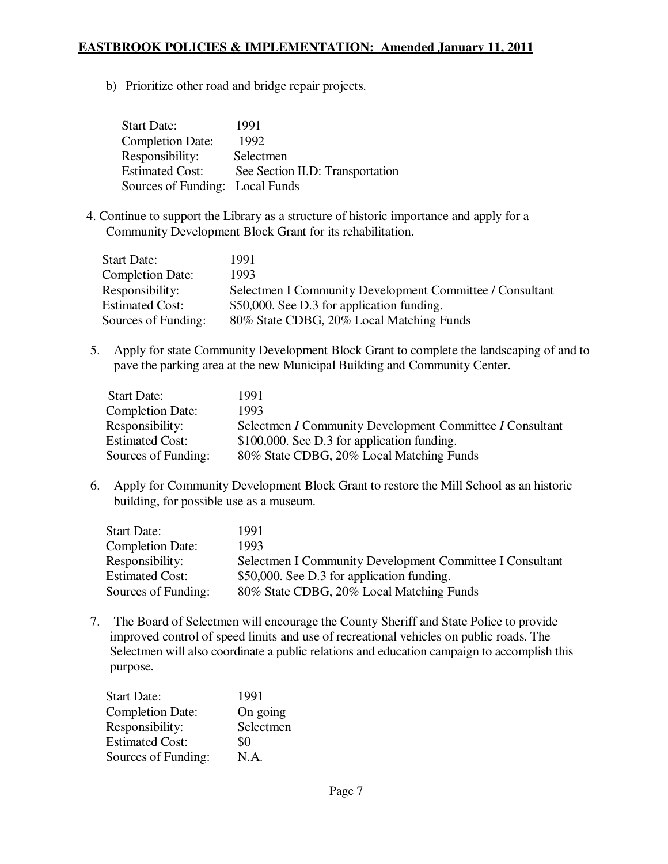b) Prioritize other road and bridge repair projects.

| <b>Start Date:</b>              | 1991                             |
|---------------------------------|----------------------------------|
| <b>Completion Date:</b>         | 1992                             |
| Responsibility:                 | Selectmen                        |
| <b>Estimated Cost:</b>          | See Section II.D: Transportation |
| Sources of Funding: Local Funds |                                  |

4. Continue to support the Library as a structure of historic importance and apply for a Community Development Block Grant for its rehabilitation.

| <b>Start Date:</b>      | 1991                                                     |
|-------------------------|----------------------------------------------------------|
| <b>Completion Date:</b> | 1993                                                     |
| Responsibility:         | Selectmen I Community Development Committee / Consultant |
| <b>Estimated Cost:</b>  | \$50,000. See D.3 for application funding.               |
| Sources of Funding:     | 80% State CDBG, 20% Local Matching Funds                 |

5. Apply for state Community Development Block Grant to complete the landscaping of and to pave the parking area at the new Municipal Building and Community Center.

| <b>Start Date:</b>      | 1991                                                     |
|-------------------------|----------------------------------------------------------|
| <b>Completion Date:</b> | 1993                                                     |
| Responsibility:         | Selectmen I Community Development Committee I Consultant |
| <b>Estimated Cost:</b>  | \$100,000. See D.3 for application funding.              |
| Sources of Funding:     | 80% State CDBG, 20% Local Matching Funds                 |

6. Apply for Community Development Block Grant to restore the Mill School as an historic building, for possible use as a museum.

| <b>Start Date:</b>      | 1991                                                     |
|-------------------------|----------------------------------------------------------|
| <b>Completion Date:</b> | 1993                                                     |
| Responsibility:         | Selectmen I Community Development Committee I Consultant |
| <b>Estimated Cost:</b>  | \$50,000. See D.3 for application funding.               |
| Sources of Funding:     | 80% State CDBG, 20% Local Matching Funds                 |

7. The Board of Selectmen will encourage the County Sheriff and State Police to provide improved control of speed limits and use of recreational vehicles on public roads. The Selectmen will also coordinate a public relations and education campaign to accomplish this purpose.

| 1991      |
|-----------|
| On going  |
| Selectmen |
| \$0       |
| N.A.      |
|           |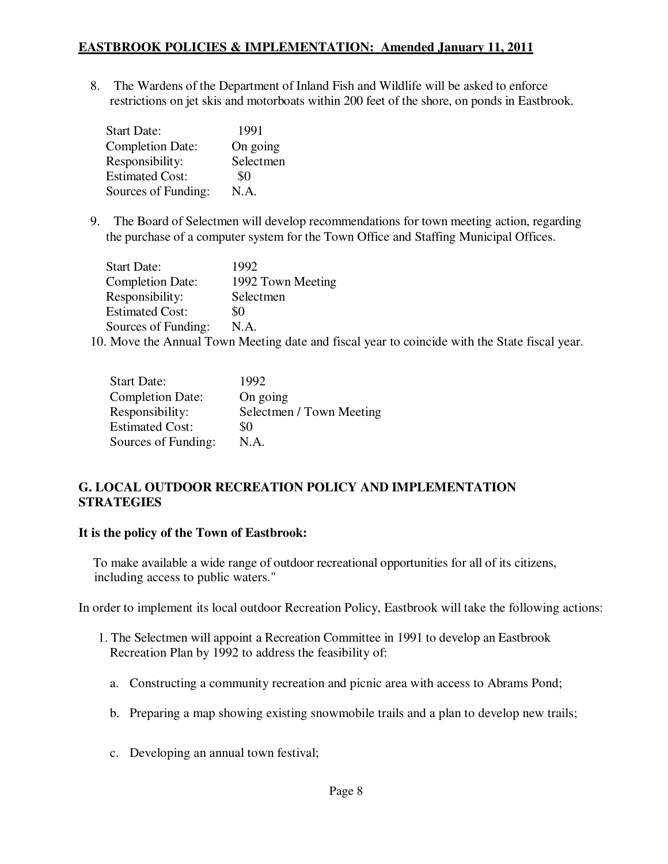8. The Wardens of the Department of Inland Fish and Wildlife will be asked to enforce restrictions on jet skis and motorboats within 200 feet of the shore, on ponds in Eastbrook.

| <b>Start Date:</b>      | 1991      |
|-------------------------|-----------|
| <b>Completion Date:</b> | On going  |
| Responsibility:         | Selectmen |
| <b>Estimated Cost:</b>  | \$0       |
| Sources of Funding:     | N.A.      |

9. The Board of Selectmen will develop recommendations for town meeting action, regarding the purchase of a computer system for the Town Office and Staffing Municipal Offices.

| <b>Start Date:</b>      | 1992              |
|-------------------------|-------------------|
| <b>Completion Date:</b> | 1992 Town Meeting |
| Responsibility:         | Selectmen         |
| <b>Estimated Cost:</b>  | \$0               |
| Sources of Funding:     | N.A.              |

10. Move the Annual Town Meeting date and fiscal year to coincide with the State fiscal year.

| <b>Start Date:</b>      | 1992                     |
|-------------------------|--------------------------|
| <b>Completion Date:</b> | On going                 |
| Responsibility:         | Selectmen / Town Meeting |
| <b>Estimated Cost:</b>  | \$0                      |
| Sources of Funding:     | N.A.                     |

## **G. LOCAL OUTDOOR RECREATION POLICY AND IMPLEMENTATION STRATEGIES**

#### **It is the policy of the Town of Eastbrook:**

To make available a wide range of outdoor recreational opportunities for all of its citizens, including access to public waters."

In order to implement its local outdoor Recreation Policy, Eastbrook will take the following actions:

- 1. The Selectmen will appoint a Recreation Committee in 1991 to develop an Eastbrook Recreation Plan by 1992 to address the feasibility of:
	- a. Constructing a community recreation and picnic area with access to Abrams Pond;
	- b. Preparing a map showing existing snowmobile trails and a plan to develop new trails;
	- c. Developing an annual town festival;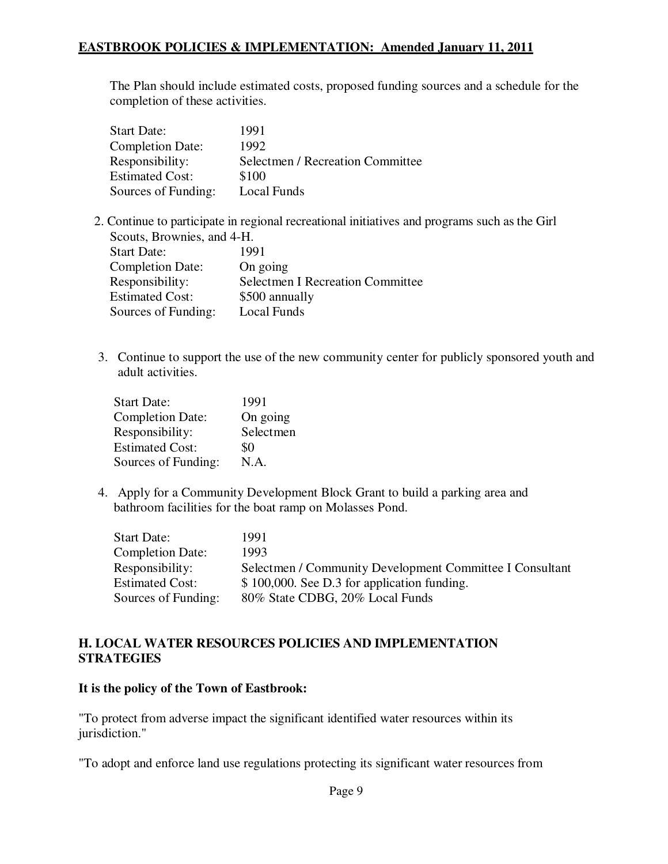The Plan should include estimated costs, proposed funding sources and a schedule for the completion of these activities.

| <b>Start Date:</b>      | 1991                             |
|-------------------------|----------------------------------|
| <b>Completion Date:</b> | 1992                             |
| Responsibility:         | Selectmen / Recreation Committee |
| <b>Estimated Cost:</b>  | \$100                            |
| Sources of Funding:     | Local Funds                      |

2. Continue to participate in regional recreational initiatives and programs such as the Girl Scouts, Brownies, and 4-H.

| <b>Start Date:</b>      | 1991                                    |
|-------------------------|-----------------------------------------|
| <b>Completion Date:</b> | On going                                |
| Responsibility:         | <b>Selectmen I Recreation Committee</b> |
| <b>Estimated Cost:</b>  | \$500 annually                          |
| Sources of Funding:     | Local Funds                             |

3. Continue to support the use of the new community center for publicly sponsored youth and adult activities.

| 1991      |
|-----------|
| On going  |
| Selectmen |
| \$0       |
| N.A.      |
|           |

4. Apply for a Community Development Block Grant to build a parking area and bathroom facilities for the boat ramp on Molasses Pond.

| <b>Start Date:</b>      | 1991                                                     |
|-------------------------|----------------------------------------------------------|
| <b>Completion Date:</b> | 1993                                                     |
| Responsibility:         | Selectmen / Community Development Committee I Consultant |
| <b>Estimated Cost:</b>  | \$100,000. See D.3 for application funding.              |
| Sources of Funding:     | 80% State CDBG, 20% Local Funds                          |

#### **H. LOCAL WATER RESOURCES POLICIES AND IMPLEMENTATION STRATEGIES**

#### **It is the policy of the Town of Eastbrook:**

"To protect from adverse impact the significant identified water resources within its jurisdiction."

"To adopt and enforce land use regulations protecting its significant water resources from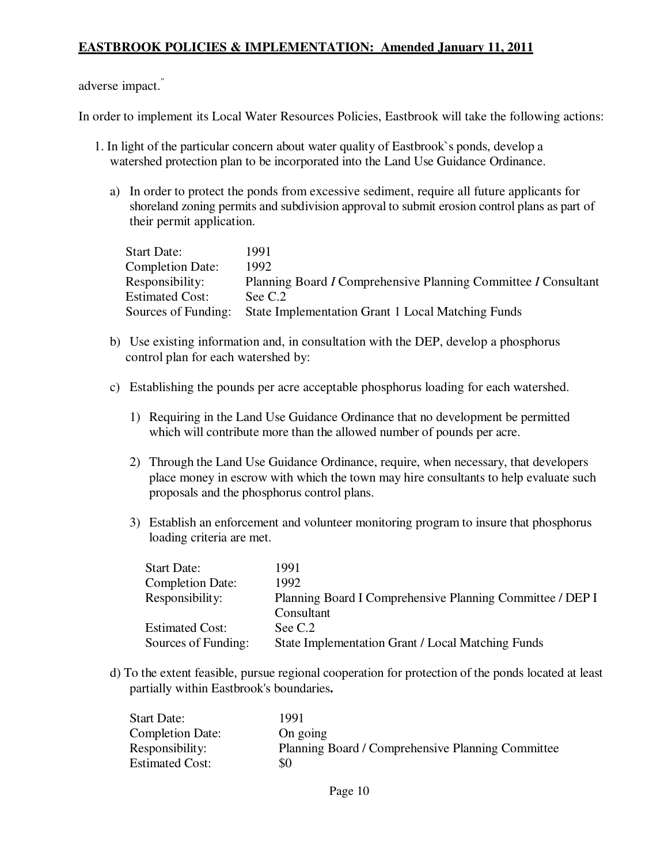adverse impact."

In order to implement its Local Water Resources Policies, Eastbrook will take the following actions:

- 1. In light of the particular concern about water quality of Eastbrook`s ponds, develop a watershed protection plan to be incorporated into the Land Use Guidance Ordinance.
	- a) In order to protect the ponds from excessive sediment, require all future applicants for shoreland zoning permits and subdivision approval to submit erosion control plans as part of their permit application.

| <b>Start Date:</b>      | 1991                                                           |
|-------------------------|----------------------------------------------------------------|
| <b>Completion Date:</b> | 1992.                                                          |
| Responsibility:         | Planning Board I Comprehensive Planning Committee I Consultant |
| <b>Estimated Cost:</b>  | See C.2                                                        |
| Sources of Funding:     | State Implementation Grant 1 Local Matching Funds              |

- b) Use existing information and, in consultation with the DEP, develop a phosphorus control plan for each watershed by:
- c) Establishing the pounds per acre acceptable phosphorus loading for each watershed.
	- 1) Requiring in the Land Use Guidance Ordinance that no development be permitted which will contribute more than the allowed number of pounds per acre.
	- 2) Through the Land Use Guidance Ordinance, require, when necessary, that developers place money in escrow with which the town may hire consultants to help evaluate such proposals and the phosphorus control plans.
	- 3) Establish an enforcement and volunteer monitoring program to insure that phosphorus loading criteria are met.

| <b>Start Date:</b>      | 1991                                                                    |
|-------------------------|-------------------------------------------------------------------------|
| <b>Completion Date:</b> | 1992                                                                    |
| Responsibility:         | Planning Board I Comprehensive Planning Committee / DEP I<br>Consultant |
| <b>Estimated Cost:</b>  | See C.2                                                                 |
| Sources of Funding:     | State Implementation Grant / Local Matching Funds                       |

d) To the extent feasible, pursue regional cooperation for protection of the ponds located at least partially within Eastbrook's boundaries**.** 

| <b>Start Date:</b>      | 1991                                              |
|-------------------------|---------------------------------------------------|
| <b>Completion Date:</b> | On going                                          |
| Responsibility:         | Planning Board / Comprehensive Planning Committee |
| <b>Estimated Cost:</b>  | \$0                                               |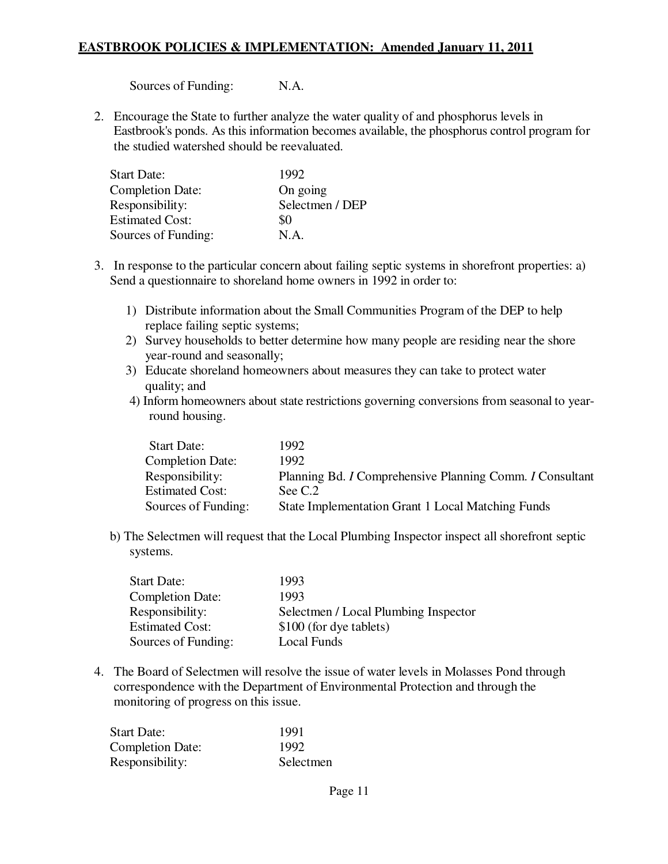Sources of Funding: N.A.

2. Encourage the State to further analyze the water quality of and phosphorus levels in Eastbrook's ponds. As this information becomes available, the phosphorus control program for the studied watershed should be reevaluated.

| <b>Start Date:</b>      | 1992            |
|-------------------------|-----------------|
| <b>Completion Date:</b> | On going        |
| Responsibility:         | Selectmen / DEP |
| <b>Estimated Cost:</b>  | \$0             |
| Sources of Funding:     | N.A.            |

- 3. In response to the particular concern about failing septic systems in shorefront properties: a) Send a questionnaire to shoreland home owners in 1992 in order to:
	- 1) Distribute information about the Small Communities Program of the DEP to help replace failing septic systems;
	- 2) Survey households to better determine how many people are residing near the shore year-round and seasonally;
	- 3) Educate shoreland homeowners about measures they can take to protect water quality; and
	- 4) Inform homeowners about state restrictions governing conversions from seasonal to yearround housing.

| <b>Start Date:</b>      | 1992                                                     |
|-------------------------|----------------------------------------------------------|
| <b>Completion Date:</b> | 1992                                                     |
| Responsibility:         | Planning Bd. I Comprehensive Planning Comm. I Consultant |
| <b>Estimated Cost:</b>  | See $C.2$                                                |
| Sources of Funding:     | <b>State Implementation Grant 1 Local Matching Funds</b> |

b) The Selectmen will request that the Local Plumbing Inspector inspect all shorefront septic systems.

| <b>Start Date:</b>      | 1993                                 |
|-------------------------|--------------------------------------|
| <b>Completion Date:</b> | 1993                                 |
| Responsibility:         | Selectmen / Local Plumbing Inspector |
| <b>Estimated Cost:</b>  | \$100 (for dye tablets)              |
| Sources of Funding:     | Local Funds                          |

4. The Board of Selectmen will resolve the issue of water levels in Molasses Pond through correspondence with the Department of Environmental Protection and through the monitoring of progress on this issue.

| <b>Start Date:</b>      | 1991      |
|-------------------------|-----------|
| <b>Completion Date:</b> | 1992      |
| Responsibility:         | Selectmen |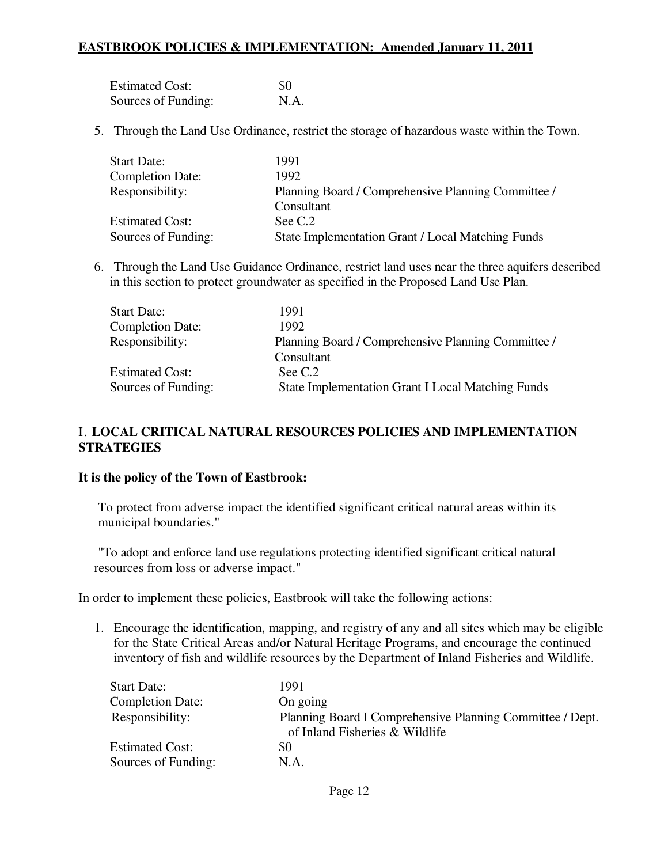| <b>Estimated Cost:</b> | -80  |
|------------------------|------|
| Sources of Funding:    | N.A. |

5. Through the Land Use Ordinance, restrict the storage of hazardous waste within the Town.

| <b>Start Date:</b>      | 1991                                                |
|-------------------------|-----------------------------------------------------|
| <b>Completion Date:</b> | 1992                                                |
| Responsibility:         | Planning Board / Comprehensive Planning Committee / |
|                         | Consultant                                          |
| <b>Estimated Cost:</b>  | See C.2                                             |
| Sources of Funding:     | State Implementation Grant / Local Matching Funds   |

6. Through the Land Use Guidance Ordinance, restrict land uses near the three aquifers described in this section to protect groundwater as specified in the Proposed Land Use Plan.

| <b>Start Date:</b>      | 1991                                                     |
|-------------------------|----------------------------------------------------------|
| <b>Completion Date:</b> | 1992.                                                    |
| Responsibility:         | Planning Board / Comprehensive Planning Committee /      |
|                         | Consultant                                               |
| <b>Estimated Cost:</b>  | See C.2                                                  |
| Sources of Funding:     | <b>State Implementation Grant I Local Matching Funds</b> |

## I. **LOCAL CRITICAL NATURAL RESOURCES POLICIES AND IMPLEMENTATION STRATEGIES**

#### **It is the policy of the Town of Eastbrook:**

To protect from adverse impact the identified significant critical natural areas within its municipal boundaries."

"To adopt and enforce land use regulations protecting identified significant critical natural resources from loss or adverse impact."

In order to implement these policies, Eastbrook will take the following actions:

1. Encourage the identification, mapping, and registry of any and all sites which may be eligible for the State Critical Areas and/or Natural Heritage Programs, and encourage the continued inventory of fish and wildlife resources by the Department of Inland Fisheries and Wildlife.

| <b>Start Date:</b>      | 1991                                                                                        |
|-------------------------|---------------------------------------------------------------------------------------------|
| <b>Completion Date:</b> | On going                                                                                    |
| Responsibility:         | Planning Board I Comprehensive Planning Committee / Dept.<br>of Inland Fisheries & Wildlife |
| <b>Estimated Cost:</b>  | \$0                                                                                         |
| Sources of Funding:     | N.A.                                                                                        |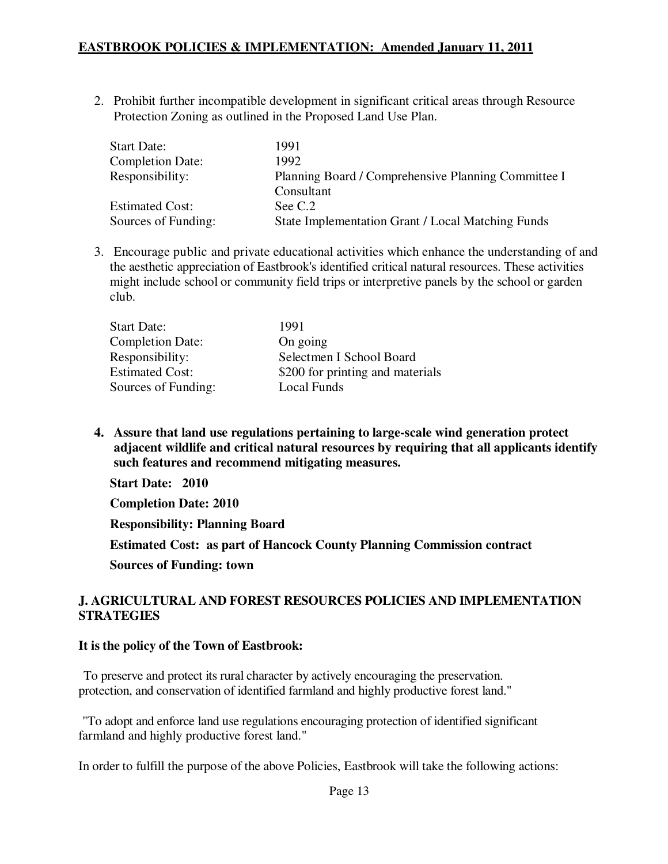2. Prohibit further incompatible development in significant critical areas through Resource Protection Zoning as outlined in the Proposed Land Use Plan.

| <b>Start Date:</b>      | 1991                                                              |
|-------------------------|-------------------------------------------------------------------|
| <b>Completion Date:</b> | 1992                                                              |
| Responsibility:         | Planning Board / Comprehensive Planning Committee I<br>Consultant |
| <b>Estimated Cost:</b>  | See C.2                                                           |
| Sources of Funding:     | State Implementation Grant / Local Matching Funds                 |

3. Encourage public and private educational activities which enhance the understanding of and the aesthetic appreciation of Eastbrook's identified critical natural resources. These activities might include school or community field trips or interpretive panels by the school or garden club.

| <b>Start Date:</b>      | 1991                             |
|-------------------------|----------------------------------|
| <b>Completion Date:</b> | On going                         |
| Responsibility:         | Selectmen I School Board         |
| <b>Estimated Cost:</b>  | \$200 for printing and materials |
| Sources of Funding:     | Local Funds                      |

**4. Assure that land use regulations pertaining to large-scale wind generation protect adjacent wildlife and critical natural resources by requiring that all applicants identify such features and recommend mitigating measures.** 

**Start Date: 2010** 

**Completion Date: 2010** 

**Responsibility: Planning Board** 

**Estimated Cost: as part of Hancock County Planning Commission contract** 

**Sources of Funding: town** 

#### **J. AGRICULTURAL AND FOREST RESOURCES POLICIES AND IMPLEMENTATION STRATEGIES**

#### **It is the policy of the Town of Eastbrook:**

To preserve and protect its rural character by actively encouraging the preservation. protection, and conservation of identified farmland and highly productive forest land."

"To adopt and enforce land use regulations encouraging protection of identified significant farmland and highly productive forest land."

In order to fulfill the purpose of the above Policies, Eastbrook will take the following actions: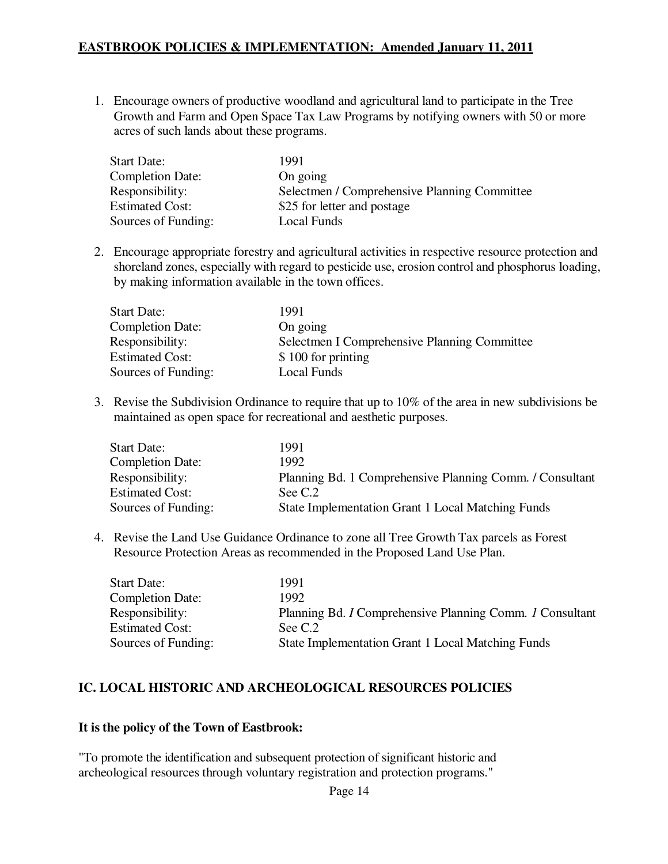1. Encourage owners of productive woodland and agricultural land to participate in the Tree Growth and Farm and Open Space Tax Law Programs by notifying owners with 50 or more acres of such lands about these programs.

| <b>Start Date:</b>      | 1991                                         |
|-------------------------|----------------------------------------------|
| <b>Completion Date:</b> | On going                                     |
| Responsibility:         | Selectmen / Comprehensive Planning Committee |
| <b>Estimated Cost:</b>  | \$25 for letter and postage                  |
| Sources of Funding:     | Local Funds                                  |

2. Encourage appropriate forestry and agricultural activities in respective resource protection and shoreland zones, especially with regard to pesticide use, erosion control and phosphorus loading, by making information available in the town offices.

| <b>Start Date:</b>      | 1991                                         |
|-------------------------|----------------------------------------------|
| <b>Completion Date:</b> | On going                                     |
| Responsibility:         | Selectmen I Comprehensive Planning Committee |
| <b>Estimated Cost:</b>  | \$100 for printing                           |
| Sources of Funding:     | Local Funds                                  |

3. Revise the Subdivision Ordinance to require that up to 10% of the area in new subdivisions be maintained as open space for recreational and aesthetic purposes.

| <b>Start Date:</b>      | 1991                                                     |
|-------------------------|----------------------------------------------------------|
| <b>Completion Date:</b> | 1992.                                                    |
| Responsibility:         | Planning Bd. 1 Comprehensive Planning Comm. / Consultant |
| <b>Estimated Cost:</b>  | See C.2                                                  |
| Sources of Funding:     | State Implementation Grant 1 Local Matching Funds        |

4. Revise the Land Use Guidance Ordinance to zone all Tree Growth Tax parcels as Forest Resource Protection Areas as recommended in the Proposed Land Use Plan.

| <b>Start Date:</b>      | 1991                                                     |
|-------------------------|----------------------------------------------------------|
| <b>Completion Date:</b> | 1992.                                                    |
| Responsibility:         | Planning Bd. I Comprehensive Planning Comm. I Consultant |
| <b>Estimated Cost:</b>  | See C.2                                                  |
| Sources of Funding:     | State Implementation Grant 1 Local Matching Funds        |

#### **IC. LOCAL HISTORIC AND ARCHEOLOGICAL RESOURCES POLICIES**

#### **It is the policy of the Town of Eastbrook:**

"To promote the identification and subsequent protection of significant historic and archeological resources through voluntary registration and protection programs."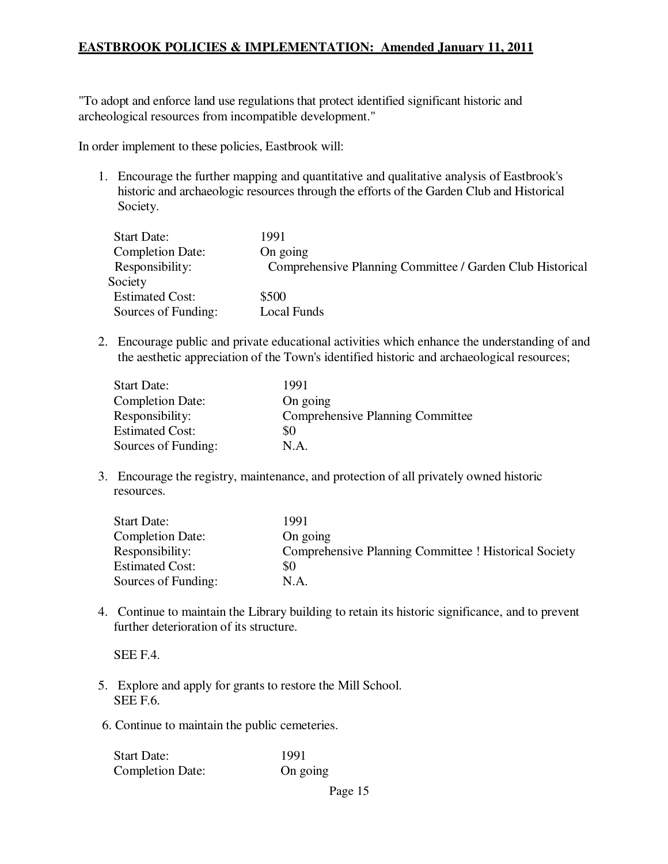"To adopt and enforce land use regulations that protect identified significant historic and archeological resources from incompatible development."

In order implement to these policies, Eastbrook will:

1. Encourage the further mapping and quantitative and qualitative analysis of Eastbrook's historic and archaeologic resources through the efforts of the Garden Club and Historical Society.

| Comprehensive Planning Committee / Garden Club Historical |
|-----------------------------------------------------------|
|                                                           |
|                                                           |
|                                                           |
|                                                           |

2. Encourage public and private educational activities which enhance the understanding of and the aesthetic appreciation of the Town's identified historic and archaeological resources;

| <b>Start Date:</b>      | 1991                                    |
|-------------------------|-----------------------------------------|
| <b>Completion Date:</b> | On going                                |
| Responsibility:         | <b>Comprehensive Planning Committee</b> |
| <b>Estimated Cost:</b>  | \$0                                     |
| Sources of Funding:     | N.A.                                    |

3. Encourage the registry, maintenance, and protection of all privately owned historic resources.

| <b>Start Date:</b>      | 1991                                                  |
|-------------------------|-------------------------------------------------------|
| <b>Completion Date:</b> | On going                                              |
| Responsibility:         | Comprehensive Planning Committee ! Historical Society |
| <b>Estimated Cost:</b>  | \$0                                                   |
| Sources of Funding:     | N.A.                                                  |

4. Continue to maintain the Library building to retain its historic significance, and to prevent further deterioration of its structure.

SEE F.4.

- 5. Explore and apply for grants to restore the Mill School. SEE F.6.
- 6. Continue to maintain the public cemeteries.

| <b>Start Date:</b>      | 1991     |
|-------------------------|----------|
| <b>Completion Date:</b> | On going |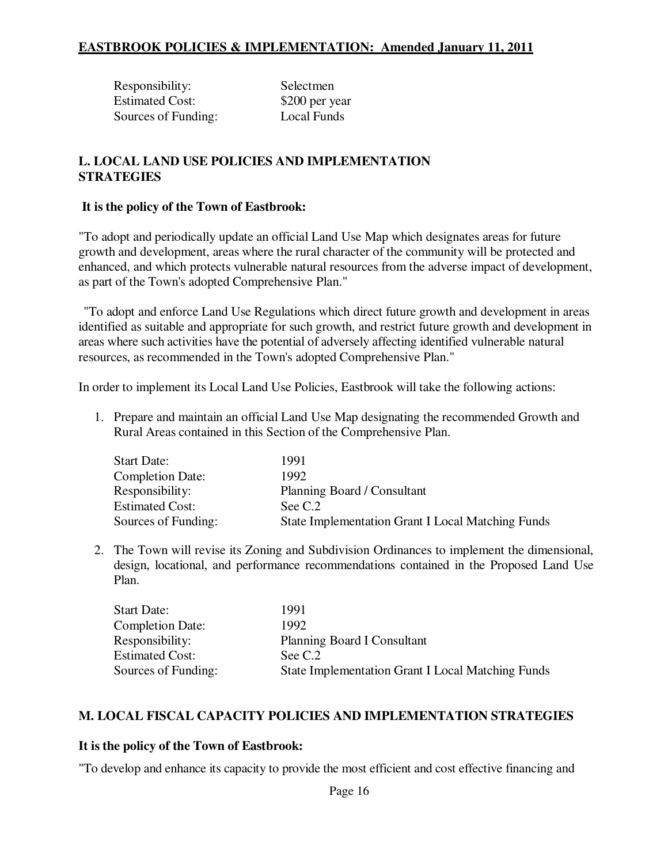| Responsibility:        | Selectmen      |
|------------------------|----------------|
| <b>Estimated Cost:</b> | \$200 per year |
| Sources of Funding:    | Local Funds    |

### **L. LOCAL LAND USE POLICIES AND IMPLEMENTATION STRATEGIES**

#### **It is the policy of the Town of Eastbrook:**

"To adopt and periodically update an official Land Use Map which designates areas for future growth and development, areas where the rural character of the community will be protected and enhanced, and which protects vulnerable natural resources from the adverse impact of development, as part of the Town's adopted Comprehensive Plan."

"To adopt and enforce Land Use Regulations which direct future growth and development in areas identified as suitable and appropriate for such growth, and restrict future growth and development in areas where such activities have the potential of adversely affecting identified vulnerable natural resources, as recommended in the Town's adopted Comprehensive Plan."

In order to implement its Local Land Use Policies, Eastbrook will take the following actions:

1. Prepare and maintain an official Land Use Map designating the recommended Growth and Rural Areas contained in this Section of the Comprehensive Plan.

| <b>Start Date:</b>      | 1991                                                     |
|-------------------------|----------------------------------------------------------|
| <b>Completion Date:</b> | 1992.                                                    |
| Responsibility:         | Planning Board / Consultant                              |
| <b>Estimated Cost:</b>  | See C.2                                                  |
| Sources of Funding:     | <b>State Implementation Grant I Local Matching Funds</b> |

2. The Town will revise its Zoning and Subdivision Ordinances to implement the dimensional, design, locational, and performance recommendations contained in the Proposed Land Use Plan.

| <b>Start Date:</b>      | 1991                                                     |
|-------------------------|----------------------------------------------------------|
| <b>Completion Date:</b> | 1992                                                     |
| Responsibility:         | <b>Planning Board I Consultant</b>                       |
| <b>Estimated Cost:</b>  | See C.2                                                  |
| Sources of Funding:     | <b>State Implementation Grant I Local Matching Funds</b> |

#### **M. LOCAL FISCAL CAPACITY POLICIES AND IMPLEMENTATION STRATEGIES**

#### **It is the policy of the Town of Eastbrook:**

"To develop and enhance its capacity to provide the most efficient and cost effective financing and